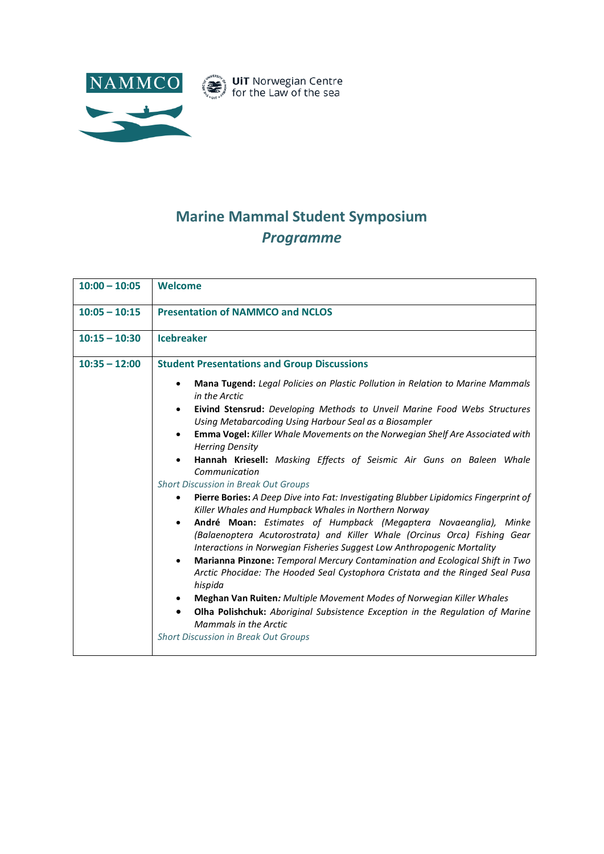

## **Marine Mammal Student Symposium** *Programme*

| $10:00 - 10:05$ | <b>Welcome</b>                                                                                                                                                                                                                                                                                                                                                                                                      |
|-----------------|---------------------------------------------------------------------------------------------------------------------------------------------------------------------------------------------------------------------------------------------------------------------------------------------------------------------------------------------------------------------------------------------------------------------|
| $10:05 - 10:15$ | <b>Presentation of NAMMCO and NCLOS</b>                                                                                                                                                                                                                                                                                                                                                                             |
| $10:15 - 10:30$ | <b>Icebreaker</b>                                                                                                                                                                                                                                                                                                                                                                                                   |
| $10:35 - 12:00$ | <b>Student Presentations and Group Discussions</b>                                                                                                                                                                                                                                                                                                                                                                  |
|                 | Mana Tugend: Legal Policies on Plastic Pollution in Relation to Marine Mammals<br>in the Arctic                                                                                                                                                                                                                                                                                                                     |
|                 | Eivind Stensrud: Developing Methods to Unveil Marine Food Webs Structures<br>$\bullet$<br>Using Metabarcoding Using Harbour Seal as a Biosampler                                                                                                                                                                                                                                                                    |
|                 | Emma Vogel: Killer Whale Movements on the Norwegian Shelf Are Associated with<br>$\bullet$<br><b>Herring Density</b>                                                                                                                                                                                                                                                                                                |
|                 | Hannah Kriesell: Masking Effects of Seismic Air Guns on Baleen Whale<br>Communication                                                                                                                                                                                                                                                                                                                               |
|                 | Short Discussion in Break Out Groups                                                                                                                                                                                                                                                                                                                                                                                |
|                 | Pierre Bories: A Deep Dive into Fat: Investigating Blubber Lipidomics Fingerprint of<br>٠<br>Killer Whales and Humpback Whales in Northern Norway                                                                                                                                                                                                                                                                   |
|                 | André Moan: Estimates of Humpback (Megaptera Novaeanglia), Minke<br>$\bullet$<br>(Balaenoptera Acutorostrata) and Killer Whale (Orcinus Orca) Fishing Gear<br>Interactions in Norwegian Fisheries Suggest Low Anthropogenic Mortality<br>Marianna Pinzone: Temporal Mercury Contamination and Ecological Shift in Two<br>$\bullet$<br>Arctic Phocidae: The Hooded Seal Cystophora Cristata and the Ringed Seal Pusa |
|                 | hispida                                                                                                                                                                                                                                                                                                                                                                                                             |
|                 | <b>Meghan Van Ruiten:</b> Multiple Movement Modes of Norwegian Killer Whales                                                                                                                                                                                                                                                                                                                                        |
|                 | <b>Olha Polishchuk:</b> Aboriginal Subsistence Exception in the Regulation of Marine<br>$\bullet$<br>Mammals in the Arctic                                                                                                                                                                                                                                                                                          |
|                 | Short Discussion in Break Out Groups                                                                                                                                                                                                                                                                                                                                                                                |